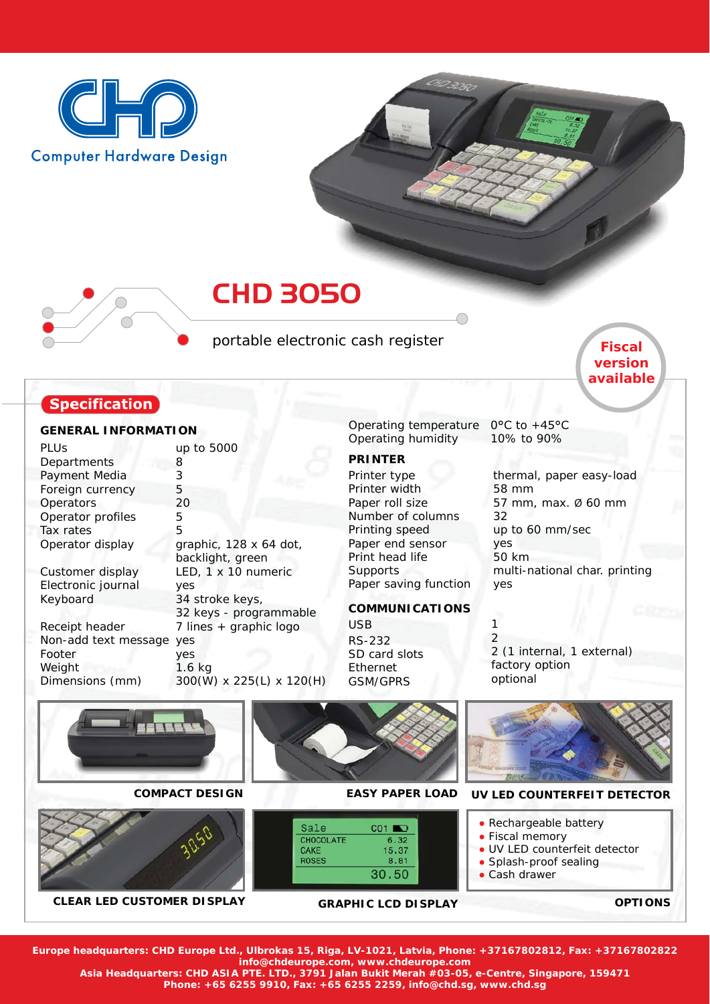



portable electronic cash register

# **Specification**

### **GENERAL INFORMATION**

| PLUs                 | up to 5000       |
|----------------------|------------------|
| Departments          | 8                |
| Payment Media        | 3                |
| Foreign currency     | 5                |
| Operators            | 20               |
| Operator profiles    | 5                |
| Tax rates            | 5                |
| Operator display     | graphic, 128 x   |
|                      | backlight, gree  |
| Customer display     | LED, 1 x 10 nu   |
| Electronic journal   | yes              |
| Keyboard             | 34 stroke keys   |
|                      | 32 keys - prog   |
| Receipt header       | $7$ lines + grap |
| Non-add text message | yes              |
| Footer               | yes              |
| Weight               | $1.6$ kg         |
| Dimensions (mm)      | 300(W) x 225     |

 $64$  dot, en umeric 34 stroke keys, grammable hic logo  $(L)$  x 120 $(H)$ 

Operating temperature  $0^{\circ}$ C to +45 $^{\circ}$ C Operating humidity

## **PRINTER**

Printer type Printer width Paper roll size Number of columns Printing speed Paper end sensor Print head life **Supports** Paper saving function 10% to 90%

1

thermal, paper easy-load 58 mm 57 mm, max. Ø 60 mm 32 up to 60 mm/sec yes 50 km multi-national char. printing yes

*Fiscal version available*

## **COMMUNICATIONS**

USB RS-232 SD card slots Ethernet GSM/GPRS

2 2 (1 internal, 1 external) factory option optional



**Europe headquarters: CHD Europe Ltd., Ulbrokas 15, Riga, LV-1021, Latvia, Phone: +37167802812, Fax: +37167802822 info@chdeurope.com, www.chdeurope.com**

**Asia Headquarters: CHD ASIA PTE. LTD., 3791 Jalan Bukit Merah #03-05, e-Centre, Singapore, 159471**

**Phone: +65 6255 9910, Fax: +65 6255 2259, info@chd.sg, www.chd.sg**